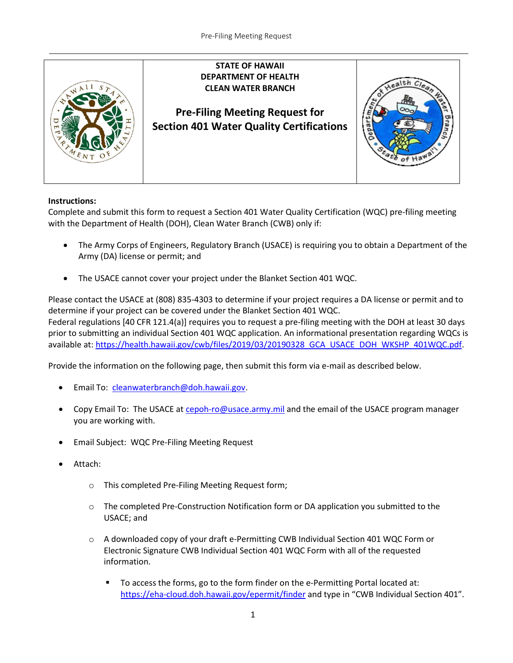

## **Instructions:**

Complete and submit this form to request a Section 401 Water Quality Certification (WQC) pre-filing meeting with the Department of Health (DOH), Clean Water Branch (CWB) only if:

- The Army Corps of Engineers, Regulatory Branch (USACE) is requiring you to obtain a Department of the Army (DA) license or permit; and
- The USACE cannot cover your project under the Blanket Section 401 WQC.

Please contact the USACE at (808) 835-4303 to determine if your project requires a DA license or permit and to determine if your project can be covered under the Blanket Section 401 WQC.

Federal regulations [40 CFR 121.4(a)] requires you to request a pre-filing meeting with the DOH at least 30 days prior to submitting an individual Section 401 WQC application. An informational presentation regarding WQCs is available at: [https://health.hawaii.gov/cwb/files/2019/03/20190328\\_GCA\\_USACE\\_DOH\\_WKSHP\\_401WQC.pdf.](https://health.hawaii.gov/cwb/files/2019/03/20190328_GCA_USACE_DOH_WKSHP_401WQC.pdf)

Provide the information on the following page, then submit this form via e-mail as described below.

- Email To: cleanwaterbranch@doh.hawaii.gov.
- Copy Email To: The USACE at cepoh-ro@usace.army.mil and the email of the USACE program manager you are working with.
- Email Subject: WQC Pre-Filing Meeting Request
- Attach:
	- o This completed Pre-Filing Meeting Request form;
	- o The completed Pre-Construction Notification form or DA application you submitted to the USACE; and
	- o A downloaded copy of your draft e-Permitting CWB Individual Section 401 WQC Form or Electronic Signature CWB Individual Section 401 WQC Form with all of the requested information.
		- To access the forms, go to the form finder on the e-Permitting Portal located at: <https://eha-cloud.doh.hawaii.gov/epermit/finder> and type in "CWB Individual Section 401".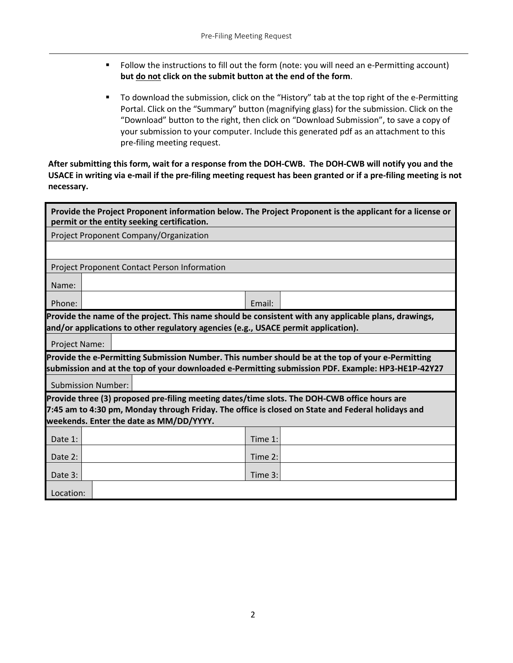- Follow the instructions to fill out the form (note: you will need an e-Permitting account) **but do not click on the submit button at the end of the form**.
- To download the submission, click on the "History" tab at the top right of the e-Permitting Portal. Click on the "Summary" button (magnifying glass) for the submission. Click on the "Download" button to the right, then click on "Download Submission", to save a copy of your submission to your computer. Include this generated pdf as an attachment to this pre-filing meeting request.

**After submitting this form, wait for a response from the DOH-CWB. The DOH-CWB will notify you and the USACE in writing via e-mail if the pre-filing meeting request has been granted or if a pre-filing meeting is not necessary.**

| Provide the Project Proponent information below. The Project Proponent is the applicant for a license or<br>permit or the entity seeking certification.                                                |  |  |  |  |         |  |  |  |
|--------------------------------------------------------------------------------------------------------------------------------------------------------------------------------------------------------|--|--|--|--|---------|--|--|--|
| Project Proponent Company/Organization                                                                                                                                                                 |  |  |  |  |         |  |  |  |
|                                                                                                                                                                                                        |  |  |  |  |         |  |  |  |
| Project Proponent Contact Person Information                                                                                                                                                           |  |  |  |  |         |  |  |  |
| Name:                                                                                                                                                                                                  |  |  |  |  |         |  |  |  |
| Phone:                                                                                                                                                                                                 |  |  |  |  | Email:  |  |  |  |
| Provide the name of the project. This name should be consistent with any applicable plans, drawings,<br>and/or applications to other regulatory agencies (e.g., USACE permit application).             |  |  |  |  |         |  |  |  |
| Project Name:                                                                                                                                                                                          |  |  |  |  |         |  |  |  |
| Provide the e-Permitting Submission Number. This number should be at the top of your e-Permitting<br>submission and at the top of your downloaded e-Permitting submission PDF. Example: HP3-HE1P-42Y27 |  |  |  |  |         |  |  |  |
| <b>Submission Number:</b>                                                                                                                                                                              |  |  |  |  |         |  |  |  |
| Provide three (3) proposed pre-filing meeting dates/time slots. The DOH-CWB office hours are                                                                                                           |  |  |  |  |         |  |  |  |
| 7:45 am to 4:30 pm, Monday through Friday. The office is closed on State and Federal holidays and<br>weekends. Enter the date as MM/DD/YYYY.                                                           |  |  |  |  |         |  |  |  |
|                                                                                                                                                                                                        |  |  |  |  |         |  |  |  |
| Date 1:                                                                                                                                                                                                |  |  |  |  | Time 1: |  |  |  |
| Date 2:                                                                                                                                                                                                |  |  |  |  | Time 2: |  |  |  |
| Date 3:                                                                                                                                                                                                |  |  |  |  | Time 3: |  |  |  |
| Location:                                                                                                                                                                                              |  |  |  |  |         |  |  |  |